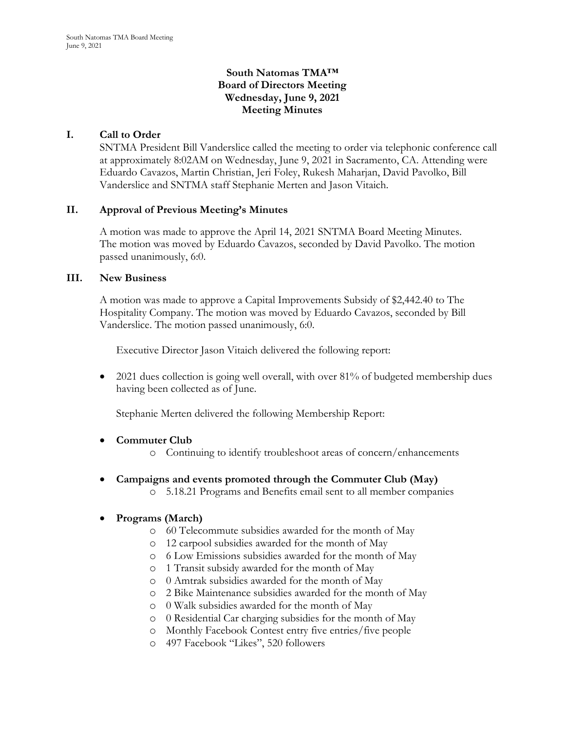# **South Natomas TMA™ Board of Directors Meeting Wednesday, June 9, 2021 Meeting Minutes**

# **I. Call to Order**

SNTMA President Bill Vanderslice called the meeting to order via telephonic conference call at approximately 8:02AM on Wednesday, June 9, 2021 in Sacramento, CA. Attending were Eduardo Cavazos, Martin Christian, Jeri Foley, Rukesh Maharjan, David Pavolko, Bill Vanderslice and SNTMA staff Stephanie Merten and Jason Vitaich.

### **II. Approval of Previous Meeting's Minutes**

A motion was made to approve the April 14, 2021 SNTMA Board Meeting Minutes. The motion was moved by Eduardo Cavazos, seconded by David Pavolko. The motion passed unanimously, 6:0.

#### **III. New Business**

A motion was made to approve a Capital Improvements Subsidy of \$2,442.40 to The Hospitality Company. The motion was moved by Eduardo Cavazos, seconded by Bill Vanderslice. The motion passed unanimously, 6:0.

Executive Director Jason Vitaich delivered the following report:

• 2021 dues collection is going well overall, with over 81% of budgeted membership dues having been collected as of June.

Stephanie Merten delivered the following Membership Report:

- **Commuter Club**
	- o Continuing to identify troubleshoot areas of concern/enhancements
- **Campaigns and events promoted through the Commuter Club (May)**
	- o 5.18.21 Programs and Benefits email sent to all member companies

### • **Programs (March)**

- o 60 Telecommute subsidies awarded for the month of May
- o 12 carpool subsidies awarded for the month of May
- o 6 Low Emissions subsidies awarded for the month of May
- o 1 Transit subsidy awarded for the month of May
- o 0 Amtrak subsidies awarded for the month of May
- o 2 Bike Maintenance subsidies awarded for the month of May
- o 0 Walk subsidies awarded for the month of May
- o 0 Residential Car charging subsidies for the month of May
- o Monthly Facebook Contest entry five entries/five people
- o 497 Facebook "Likes", 520 followers